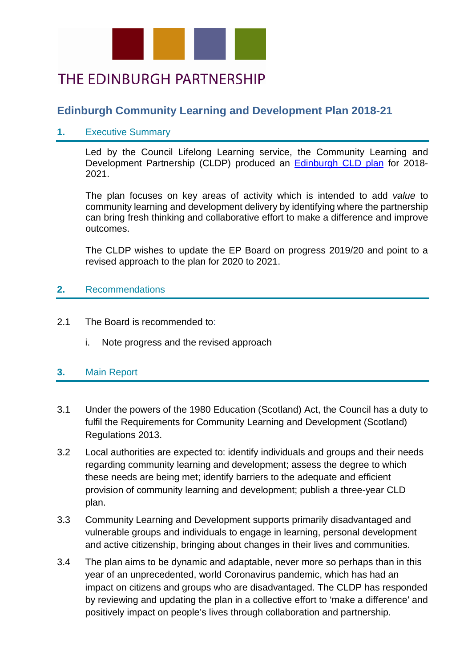

# THE EDINBURGH PARTNERSHIP

# **Edinburgh Community Learning and Development Plan 2018-21**

### **1.** Executive Summary

Led by the Council Lifelong Learning service, the Community Learning and Development Partnership (CLDP) produced an [Edinburgh CLD plan](https://www.edinburghpartnership.scot/downloads/file/30/edinburgh-community-learning-and-development-plan) for 2018- 2021.

The plan focuses on key areas of activity which is intended to add *value* to community learning and development delivery by identifying where the partnership can bring fresh thinking and collaborative effort to make a difference and improve outcomes.

The CLDP wishes to update the EP Board on progress 2019/20 and point to a revised approach to the plan for 2020 to 2021.

### **2.** Recommendations

- 2.1 The Board is recommended to:
	- i. Note progress and the revised approach

### **3.** Main Report

- 3.1 Under the powers of the 1980 Education (Scotland) Act, the Council has a duty to fulfil the Requirements for Community Learning and Development (Scotland) Regulations 2013.
- 3.2 Local authorities are expected to: identify individuals and groups and their needs regarding community learning and development; assess the degree to which these needs are being met; identify barriers to the adequate and efficient provision of community learning and development; publish a three-year CLD plan.
- 3.3 Community Learning and Development supports primarily disadvantaged and vulnerable groups and individuals to engage in learning, personal development and active citizenship, bringing about changes in their lives and communities.
- 3.4 The plan aims to be dynamic and adaptable, never more so perhaps than in this year of an unprecedented, world Coronavirus pandemic, which has had an impact on citizens and groups who are disadvantaged. The CLDP has responded by reviewing and updating the plan in a collective effort to 'make a difference' and positively impact on people's lives through collaboration and partnership.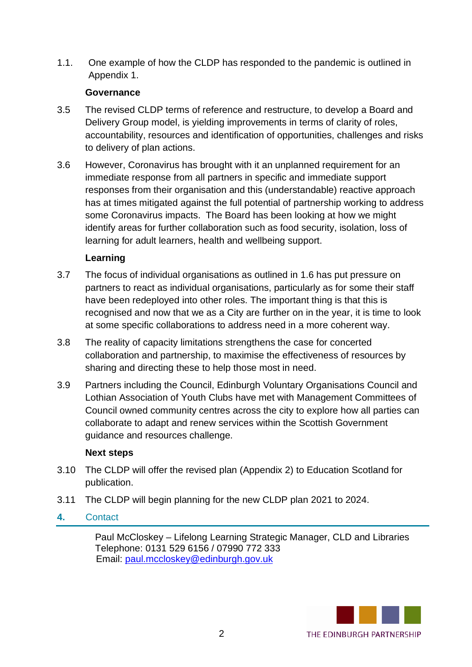1.1. One example of how the CLDP has responded to the pandemic is outlined in Appendix 1.

## **Governance**

- 3.5 The revised CLDP terms of reference and restructure, to develop a Board and Delivery Group model, is yielding improvements in terms of clarity of roles, accountability, resources and identification of opportunities, challenges and risks to delivery of plan actions.
- 3.6 However, Coronavirus has brought with it an unplanned requirement for an immediate response from all partners in specific and immediate support responses from their organisation and this (understandable) reactive approach has at times mitigated against the full potential of partnership working to address some Coronavirus impacts. The Board has been looking at how we might identify areas for further collaboration such as food security, isolation, loss of learning for adult learners, health and wellbeing support.

# **Learning**

- 3.7 The focus of individual organisations as outlined in 1.6 has put pressure on partners to react as individual organisations, particularly as for some their staff have been redeployed into other roles. The important thing is that this is recognised and now that we as a City are further on in the year, it is time to look at some specific collaborations to address need in a more coherent way.
- 3.8 The reality of capacity limitations strengthens the case for concerted collaboration and partnership, to maximise the effectiveness of resources by sharing and directing these to help those most in need.
- 3.9 Partners including the Council, Edinburgh Voluntary Organisations Council and Lothian Association of Youth Clubs have met with Management Committees of Council owned community centres across the city to explore how all parties can collaborate to adapt and renew services within the Scottish Government guidance and resources challenge.

### **Next steps**

- 3.10 The CLDP will offer the revised plan (Appendix 2) to Education Scotland for publication.
- 3.11 The CLDP will begin planning for the new CLDP plan 2021 to 2024.

# **4.** Contact

Paul McCloskey – Lifelong Learning Strategic Manager, CLD and Libraries Telephone: 0131 529 6156 / 07990 772 333 Email: [paul.mccloskey@edinburgh.gov.uk](mailto:paul.mccloskey@edinburgh.gov.uk)

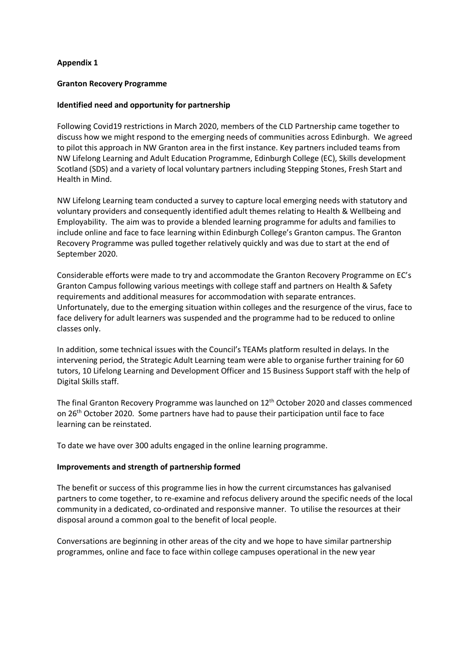### **Appendix 1**

#### **Granton Recovery Programme**

#### **Identified need and opportunity for partnership**

Following Covid19 restrictions in March 2020, members of the CLD Partnership came together to discuss how we might respond to the emerging needs of communities across Edinburgh. We agreed to pilot this approach in NW Granton area in the first instance. Key partners included teams from NW Lifelong Learning and Adult Education Programme, Edinburgh College (EC), Skills development Scotland (SDS) and a variety of local voluntary partners including Stepping Stones, Fresh Start and Health in Mind.

NW Lifelong Learning team conducted a survey to capture local emerging needs with statutory and voluntary providers and consequently identified adult themes relating to Health & Wellbeing and Employability. The aim was to provide a blended learning programme for adults and families to include online and face to face learning within Edinburgh College's Granton campus. The Granton Recovery Programme was pulled together relatively quickly and was due to start at the end of September 2020.

Considerable efforts were made to try and accommodate the Granton Recovery Programme on EC's Granton Campus following various meetings with college staff and partners on Health & Safety requirements and additional measures for accommodation with separate entrances. Unfortunately, due to the emerging situation within colleges and the resurgence of the virus, face to face delivery for adult learners was suspended and the programme had to be reduced to online classes only.

In addition, some technical issues with the Council's TEAMs platform resulted in delays. In the intervening period, the Strategic Adult Learning team were able to organise further training for 60 tutors, 10 Lifelong Learning and Development Officer and 15 Business Support staff with the help of Digital Skills staff.

The final Granton Recovery Programme was launched on 12<sup>th</sup> October 2020 and classes commenced on  $26<sup>th</sup>$  October 2020. Some partners have had to pause their participation until face to face learning can be reinstated.

To date we have over 300 adults engaged in the online learning programme.

#### **Improvements and strength of partnership formed**

The benefit or success of this programme lies in how the current circumstances has galvanised partners to come together, to re-examine and refocus delivery around the specific needs of the local community in a dedicated, co-ordinated and responsive manner. To utilise the resources at their disposal around a common goal to the benefit of local people.

Conversations are beginning in other areas of the city and we hope to have similar partnership programmes, online and face to face within college campuses operational in the new year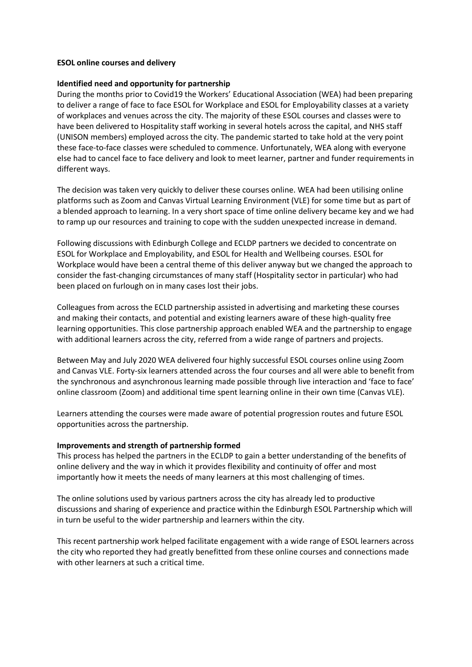#### **ESOL online courses and delivery**

#### **Identified need and opportunity for partnership**

During the months prior to Covid19 the Workers' Educational Association (WEA) had been preparing to deliver a range of face to face ESOL for Workplace and ESOL for Employability classes at a variety of workplaces and venues across the city. The majority of these ESOL courses and classes were to have been delivered to Hospitality staff working in several hotels across the capital, and NHS staff (UNISON members) employed across the city. The pandemic started to take hold at the very point these face-to-face classes were scheduled to commence. Unfortunately, WEA along with everyone else had to cancel face to face delivery and look to meet learner, partner and funder requirements in different ways.

The decision was taken very quickly to deliver these courses online. WEA had been utilising online platforms such as Zoom and Canvas Virtual Learning Environment (VLE) for some time but as part of a blended approach to learning. In a very short space of time online delivery became key and we had to ramp up our resources and training to cope with the sudden unexpected increase in demand.

Following discussions with Edinburgh College and ECLDP partners we decided to concentrate on ESOL for Workplace and Employability, and ESOL for Health and Wellbeing courses. ESOL for Workplace would have been a central theme of this deliver anyway but we changed the approach to consider the fast-changing circumstances of many staff (Hospitality sector in particular) who had been placed on furlough on in many cases lost their jobs.

Colleagues from across the ECLD partnership assisted in advertising and marketing these courses and making their contacts, and potential and existing learners aware of these high-quality free learning opportunities. This close partnership approach enabled WEA and the partnership to engage with additional learners across the city, referred from a wide range of partners and projects.

Between May and July 2020 WEA delivered four highly successful ESOL courses online using Zoom and Canvas VLE. Forty-six learners attended across the four courses and all were able to benefit from the synchronous and asynchronous learning made possible through live interaction and 'face to face' online classroom (Zoom) and additional time spent learning online in their own time (Canvas VLE).

Learners attending the courses were made aware of potential progression routes and future ESOL opportunities across the partnership.

#### **Improvements and strength of partnership formed**

This process has helped the partners in the ECLDP to gain a better understanding of the benefits of online delivery and the way in which it provides flexibility and continuity of offer and most importantly how it meets the needs of many learners at this most challenging of times.

The online solutions used by various partners across the city has already led to productive discussions and sharing of experience and practice within the Edinburgh ESOL Partnership which will in turn be useful to the wider partnership and learners within the city.

This recent partnership work helped facilitate engagement with a wide range of ESOL learners across the city who reported they had greatly benefitted from these online courses and connections made with other learners at such a critical time.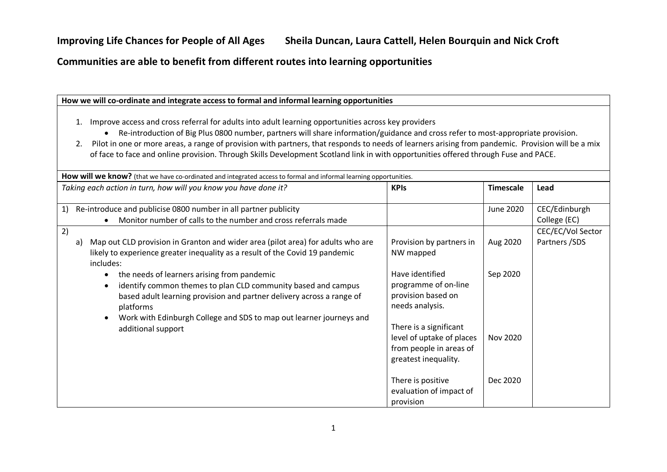# **Improving Life Chances for People of All Ages Sheila Duncan, Laura Cattell, Helen Bourquin and Nick Croft**

# **Communities are able to benefit from different routes into learning opportunities**

| How we will co-ordinate and integrate access to formal and informal learning opportunities                                                                                                                                                                                                                                                                                                                                                                                                                                                                  |                                                                                                                                                                                                                                     |                                         |                                     |
|-------------------------------------------------------------------------------------------------------------------------------------------------------------------------------------------------------------------------------------------------------------------------------------------------------------------------------------------------------------------------------------------------------------------------------------------------------------------------------------------------------------------------------------------------------------|-------------------------------------------------------------------------------------------------------------------------------------------------------------------------------------------------------------------------------------|-----------------------------------------|-------------------------------------|
| Improve access and cross referral for adults into adult learning opportunities across key providers<br>$\mathbf{1}$ .<br>Re-introduction of Big Plus 0800 number, partners will share information/guidance and cross refer to most-appropriate provision.<br>Pilot in one or more areas, a range of provision with partners, that responds to needs of learners arising from pandemic. Provision will be a mix<br>2.<br>of face to face and online provision. Through Skills Development Scotland link in with opportunities offered through Fuse and PACE. |                                                                                                                                                                                                                                     |                                         |                                     |
| How will we know? (that we have co-ordinated and integrated access to formal and informal learning opportunities.                                                                                                                                                                                                                                                                                                                                                                                                                                           |                                                                                                                                                                                                                                     |                                         |                                     |
| Taking each action in turn, how will you know you have done it?                                                                                                                                                                                                                                                                                                                                                                                                                                                                                             | <b>KPIs</b>                                                                                                                                                                                                                         | <b>Timescale</b>                        | Lead                                |
| Re-introduce and publicise 0800 number in all partner publicity<br>1)<br>Monitor number of calls to the number and cross referrals made                                                                                                                                                                                                                                                                                                                                                                                                                     |                                                                                                                                                                                                                                     | <b>June 2020</b>                        | CEC/Edinburgh<br>College (EC)       |
| 2)<br>Map out CLD provision in Granton and wider area (pilot area) for adults who are<br>a)<br>likely to experience greater inequality as a result of the Covid 19 pandemic<br>includes:<br>the needs of learners arising from pandemic<br>$\bullet$<br>identify common themes to plan CLD community based and campus<br>$\bullet$<br>based adult learning provision and partner delivery across a range of<br>platforms<br>Work with Edinburgh College and SDS to map out learner journeys and<br>$\bullet$<br>additional support                          | Provision by partners in<br>NW mapped<br>Have identified<br>programme of on-line<br>provision based on<br>needs analysis.<br>There is a significant<br>level of uptake of places<br>from people in areas of<br>greatest inequality. | Aug 2020<br>Sep 2020<br><b>Nov 2020</b> | CEC/EC/Vol Sector<br>Partners / SDS |
|                                                                                                                                                                                                                                                                                                                                                                                                                                                                                                                                                             | There is positive<br>evaluation of impact of<br>provision                                                                                                                                                                           | Dec 2020                                |                                     |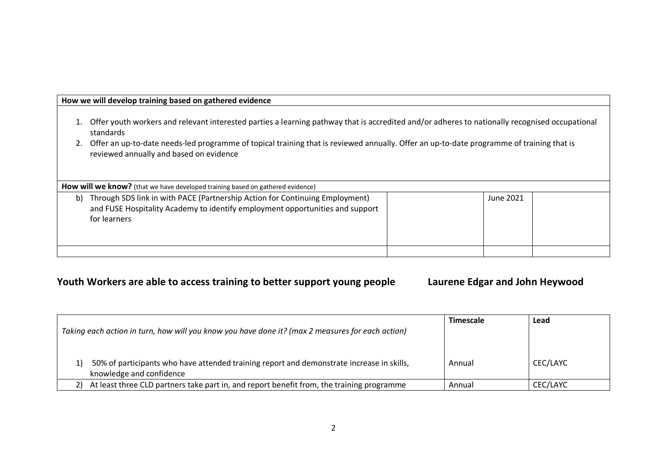# **How we will develop training based on gathered evidence**

- 1. Offer youth workers and relevant interested parties a learning pathway that is accredited and/or adheres to nationally recognised occupational standards
- 2. Offer an up-to-date needs-led programme of topical training that is reviewed annually. Offer an up-to-date programme of training that is reviewed annually and based on evidence

How will we know? (that we have developed training based on gathered evidence)

| b) | Through SDS link in with PACE (Partnership Action for Continuing Employment)<br>and FUSE Hospitality Academy to identify employment opportunities and support<br>for learners | June 2021 |  |
|----|-------------------------------------------------------------------------------------------------------------------------------------------------------------------------------|-----------|--|
|    |                                                                                                                                                                               |           |  |

# **Youth Workers are able to access training to better support young people Laurene Edgar and John Heywood**

|                                                                                                                       | <b>Timescale</b> | Lead     |
|-----------------------------------------------------------------------------------------------------------------------|------------------|----------|
| Taking each action in turn, how will you know you have done it? (max 2 measures for each action)                      |                  |          |
|                                                                                                                       |                  |          |
| 50% of participants who have attended training report and demonstrate increase in skills,<br>knowledge and confidence | Annual           | CEC/LAYC |
| At least three CLD partners take part in, and report benefit from, the training programme                             | Annual           | CEC/LAYC |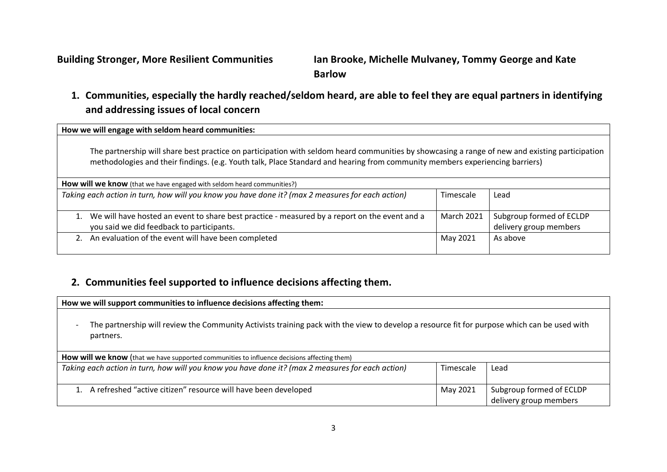**Building Stronger, More Resilient Communities Ian Brooke, Michelle Mulvaney, Tommy George and Kate Barlow** 

# **1. Communities, especially the hardly reached/seldom heard, are able to feel they are equal partners in identifying and addressing issues of local concern**

**How we will engage with seldom heard communities:**

The partnership will share best practice on participation with seldom heard communities by showcasing a range of new and existing participation methodologies and their findings. (e.g. Youth talk, Place Standard and hearing from community members experiencing barriers)

| How will we know (that we have engaged with seldom heard communities?)                                                                     |                   |                                                    |  |
|--------------------------------------------------------------------------------------------------------------------------------------------|-------------------|----------------------------------------------------|--|
| Taking each action in turn, how will you know you have done it? (max 2 measures for each action)                                           | Timescale         | Lead                                               |  |
| We will have hosted an event to share best practice - measured by a report on the event and a<br>you said we did feedback to participants. | <b>March 2021</b> | Subgroup formed of ECLDP<br>delivery group members |  |
| 2. An evaluation of the event will have been completed                                                                                     | May 2021          | As above                                           |  |

# **2. Communities feel supported to influence decisions affecting them.**

| How we will support communities to influence decisions affecting them:                                                                                    |           |                                                    |  |
|-----------------------------------------------------------------------------------------------------------------------------------------------------------|-----------|----------------------------------------------------|--|
| The partnership will review the Community Activists training pack with the view to develop a resource fit for purpose which can be used with<br>partners. |           |                                                    |  |
| How will we know (that we have supported communities to influence decisions affecting them)                                                               |           |                                                    |  |
| Taking each action in turn, how will you know you have done it? (max 2 measures for each action)                                                          | Timescale | Lead                                               |  |
| 1. A refreshed "active citizen" resource will have been developed                                                                                         | May 2021  | Subgroup formed of ECLDP<br>delivery group members |  |